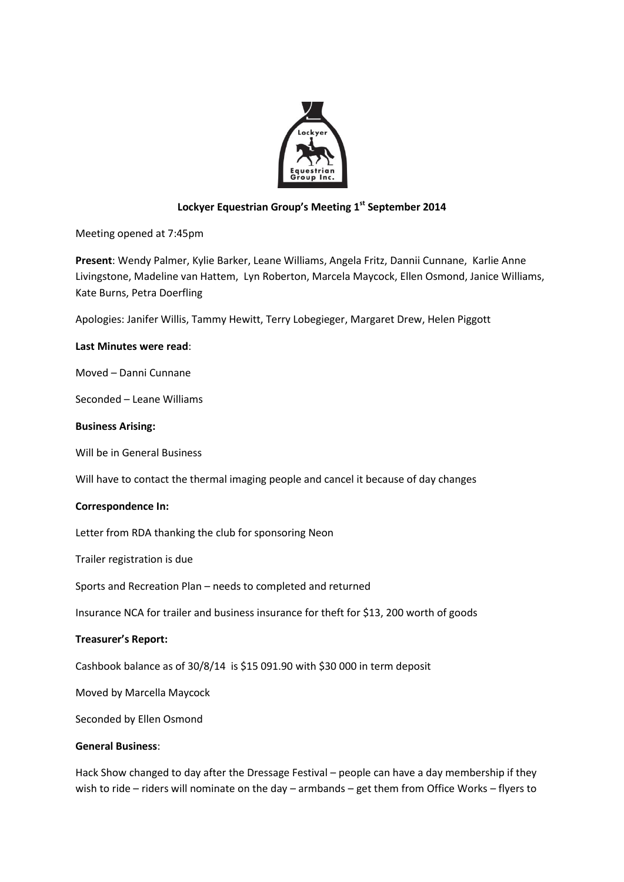

# **Lockyer Equestrian Group's Meeting 1 st September 2014**

Meeting opened at 7:45pm

**Present**: Wendy Palmer, Kylie Barker, Leane Williams, Angela Fritz, Dannii Cunnane, Karlie Anne Livingstone, Madeline van Hattem, Lyn Roberton, Marcela Maycock, Ellen Osmond, Janice Williams, Kate Burns, Petra Doerfling

Apologies: Janifer Willis, Tammy Hewitt, Terry Lobegieger, Margaret Drew, Helen Piggott

## **Last Minutes were read**:

Moved – Danni Cunnane

Seconded – Leane Williams

## **Business Arising:**

Will be in General Business

Will have to contact the thermal imaging people and cancel it because of day changes

## **Correspondence In:**

Letter from RDA thanking the club for sponsoring Neon

Trailer registration is due

Sports and Recreation Plan – needs to completed and returned

Insurance NCA for trailer and business insurance for theft for \$13, 200 worth of goods

## **Treasurer's Report:**

Cashbook balance as of 30/8/14 is \$15 091.90 with \$30 000 in term deposit

Moved by Marcella Maycock

Seconded by Ellen Osmond

## **General Business**:

Hack Show changed to day after the Dressage Festival – people can have a day membership if they wish to ride – riders will nominate on the day – armbands – get them from Office Works – flyers to